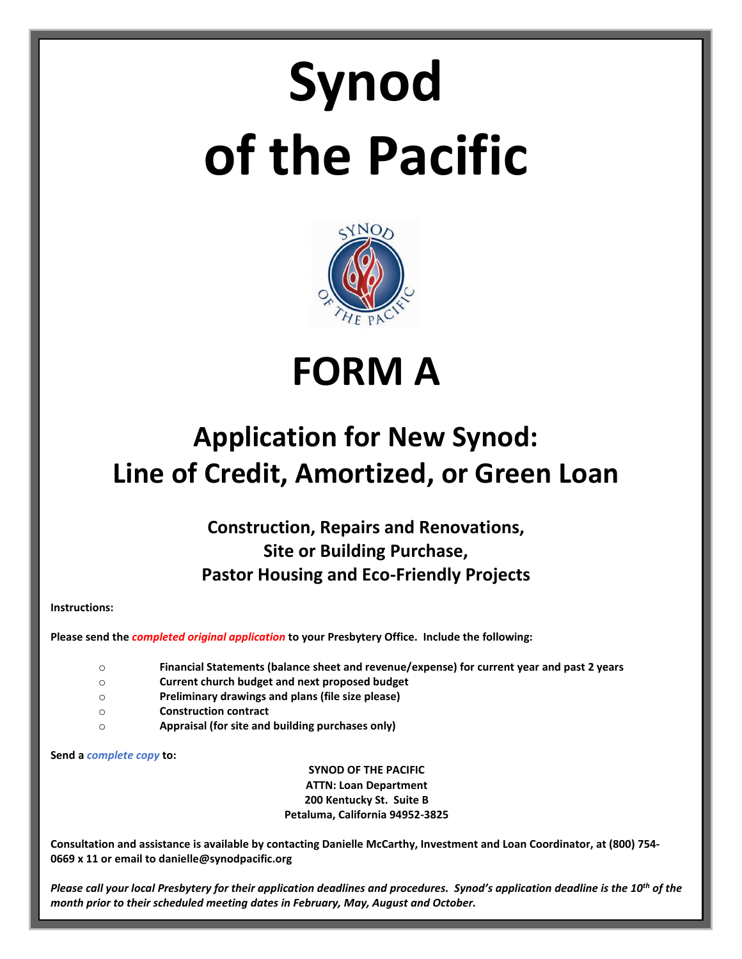# **Synod of the Pacific**



**FORM A**

# **Application for New Synod: Line of Credit, Amortized, or Green Loan**

**Construction, Repairs and Renovations, Site or Building Purchase, Pastor Housing and Eco-Friendly Projects**

**Instructions:**

**Please send the** *completed original application* **to your Presbytery Office. Include the following:**

- o **Financial Statements (balance sheet and revenue/expense) for current year and past 2 years**
- o **Current church budget and next proposed budget**
- o **Preliminary drawings and plans (file size please)**
- o **Construction contract**
- o **Appraisal (for site and building purchases only)**

**Send a** *complete copy* **to:**

**SYNOD OF THE PACIFIC ATTN: Loan Department 200 Kentucky St. Suite B Petaluma, California 94952-3825**

**Consultation and assistance is available by contacting Danielle McCarthy, Investment and Loan Coordinator, at (800) 754- 0669 x 11 or email to danielle@synodpacific.org**

*Please call your local Presbytery for their application deadlines and procedures. Synod's application deadline is the 10<sup>th</sup> of the month prior to their scheduled meeting dates in February, May, August and October.*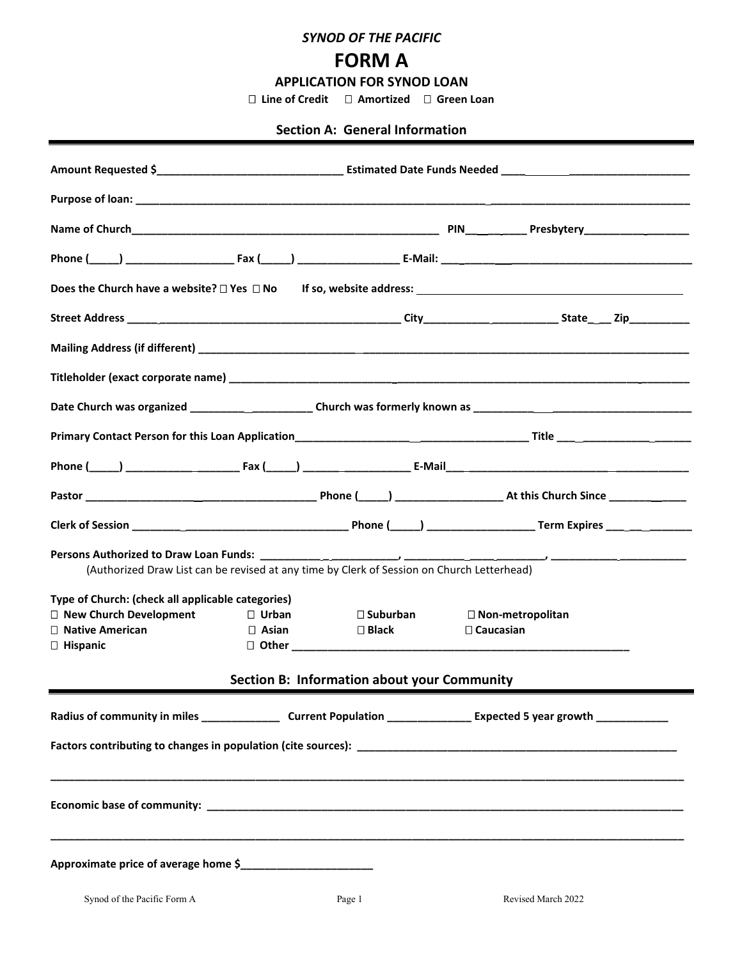*SYNOD OF THE PACIFIC*

## **FORM A**

**APPLICATION FOR SYNOD LOAN**

 **Line of Credit Amortized Green Loan**

#### **Section A: General Information**

| Date Church was organized _______________________Church was formerly known as ________________________________ |              |                                             |                         |  |
|----------------------------------------------------------------------------------------------------------------|--------------|---------------------------------------------|-------------------------|--|
|                                                                                                                |              |                                             |                         |  |
|                                                                                                                |              |                                             |                         |  |
|                                                                                                                |              |                                             |                         |  |
|                                                                                                                |              |                                             |                         |  |
| (Authorized Draw List can be revised at any time by Clerk of Session on Church Letterhead)                     |              |                                             |                         |  |
| Type of Church: (check all applicable categories)                                                              |              |                                             |                         |  |
| $\Box$ New Church Development                                                                                  | $\Box$ Urban | $\square$ Suburban                          | $\Box$ Non-metropolitan |  |
| $\Box$ Native American                                                                                         |              | $\Box$ Asian $\Box$ Black                   | $\Box$ Caucasian        |  |
| $\Box$ Hispanic                                                                                                |              |                                             |                         |  |
|                                                                                                                |              | Section B: Information about your Community |                         |  |
|                                                                                                                |              |                                             |                         |  |
|                                                                                                                |              |                                             |                         |  |
|                                                                                                                |              |                                             |                         |  |
| Approximate price of average home \$                                                                           |              |                                             |                         |  |
| Synod of the Pacific Form A                                                                                    |              | Page 1                                      | Revised March 2022      |  |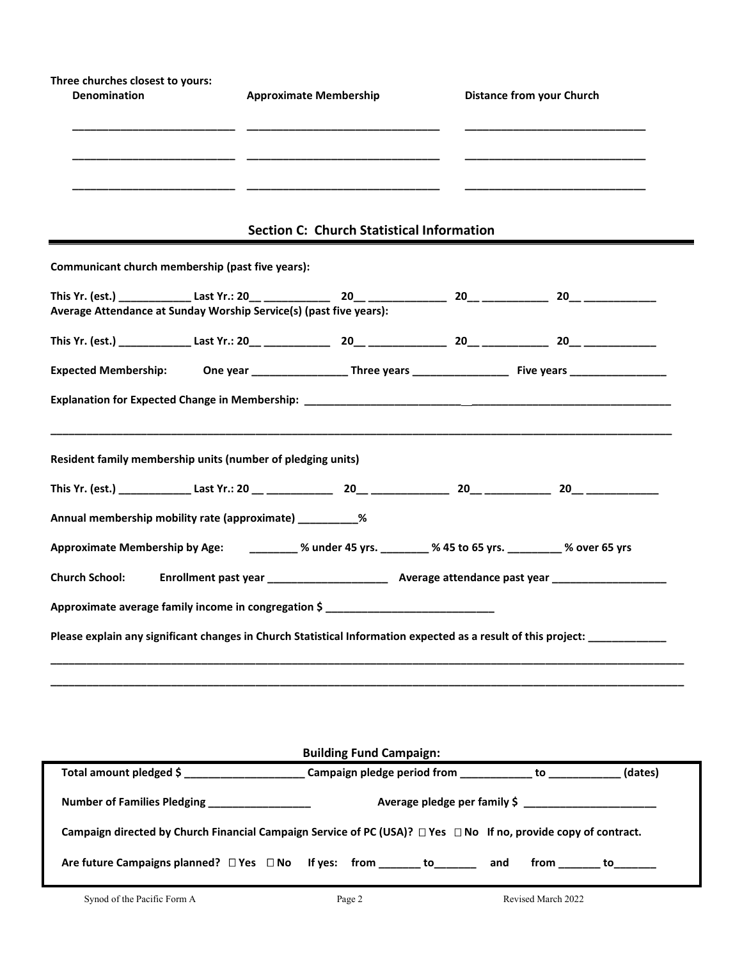| Three churches closest to yours: |                               |                                  |
|----------------------------------|-------------------------------|----------------------------------|
| <b>Denomination</b>              | <b>Approximate Membership</b> | <b>Distance from your Church</b> |
|                                  |                               |                                  |
|                                  |                               |                                  |
|                                  |                               |                                  |
|                                  |                               |                                  |

### **Section C: Church Statistical Information**

**Communicant church membership (past five years):**

| Average Attendance at Sunday Worship Service(s) (past five years):<br>Resident family membership units (number of pledging units)<br>Annual membership mobility rate (approximate) __________%<br>Approximate Membership by Age: ________ % under 45 yrs. _______ % 45 to 65 yrs. _______ % over 65 yrs<br>Approximate average family income in congregation \$<br>Please explain any significant changes in Church Statistical Information expected as a result of this project: ___________ |  |  |  |
|-----------------------------------------------------------------------------------------------------------------------------------------------------------------------------------------------------------------------------------------------------------------------------------------------------------------------------------------------------------------------------------------------------------------------------------------------------------------------------------------------|--|--|--|
|                                                                                                                                                                                                                                                                                                                                                                                                                                                                                               |  |  |  |
|                                                                                                                                                                                                                                                                                                                                                                                                                                                                                               |  |  |  |
|                                                                                                                                                                                                                                                                                                                                                                                                                                                                                               |  |  |  |
|                                                                                                                                                                                                                                                                                                                                                                                                                                                                                               |  |  |  |
|                                                                                                                                                                                                                                                                                                                                                                                                                                                                                               |  |  |  |
|                                                                                                                                                                                                                                                                                                                                                                                                                                                                                               |  |  |  |
|                                                                                                                                                                                                                                                                                                                                                                                                                                                                                               |  |  |  |
|                                                                                                                                                                                                                                                                                                                                                                                                                                                                                               |  |  |  |
|                                                                                                                                                                                                                                                                                                                                                                                                                                                                                               |  |  |  |
|                                                                                                                                                                                                                                                                                                                                                                                                                                                                                               |  |  |  |
|                                                                                                                                                                                                                                                                                                                                                                                                                                                                                               |  |  |  |
|                                                                                                                                                                                                                                                                                                                                                                                                                                                                                               |  |  |  |
|                                                                                                                                                                                                                                                                                                                                                                                                                                                                                               |  |  |  |

| <b>Building Fund Campaign:</b>                                                                |                                                                                                                       |         |  |  |
|-----------------------------------------------------------------------------------------------|-----------------------------------------------------------------------------------------------------------------------|---------|--|--|
|                                                                                               | Total amount pledged \$ _________________________________Campaign pledge period from ______________ to ______________ | (dates) |  |  |
| Number of Families Pledging __________________                                                | Average pledge per family \$ _________________________                                                                |         |  |  |
|                                                                                               | Campaign directed by Church Financial Campaign Service of PC (USA)? □ Yes □ No If no, provide copy of contract.       |         |  |  |
| Are future Campaigns planned? $\square$ Yes $\square$ No If yes: from ________ to________ and | from to                                                                                                               |         |  |  |

**\_\_\_\_\_\_\_\_\_\_\_\_\_\_\_\_\_\_\_\_\_\_\_\_\_\_\_\_\_\_\_\_\_\_\_\_\_\_\_\_\_\_\_\_\_\_\_\_\_\_\_\_\_\_\_\_\_\_\_\_\_\_\_\_\_\_\_\_\_\_\_\_\_\_\_\_\_\_\_\_\_\_\_\_\_\_\_\_\_\_\_\_\_\_\_\_\_\_\_\_\_\_\_\_\_**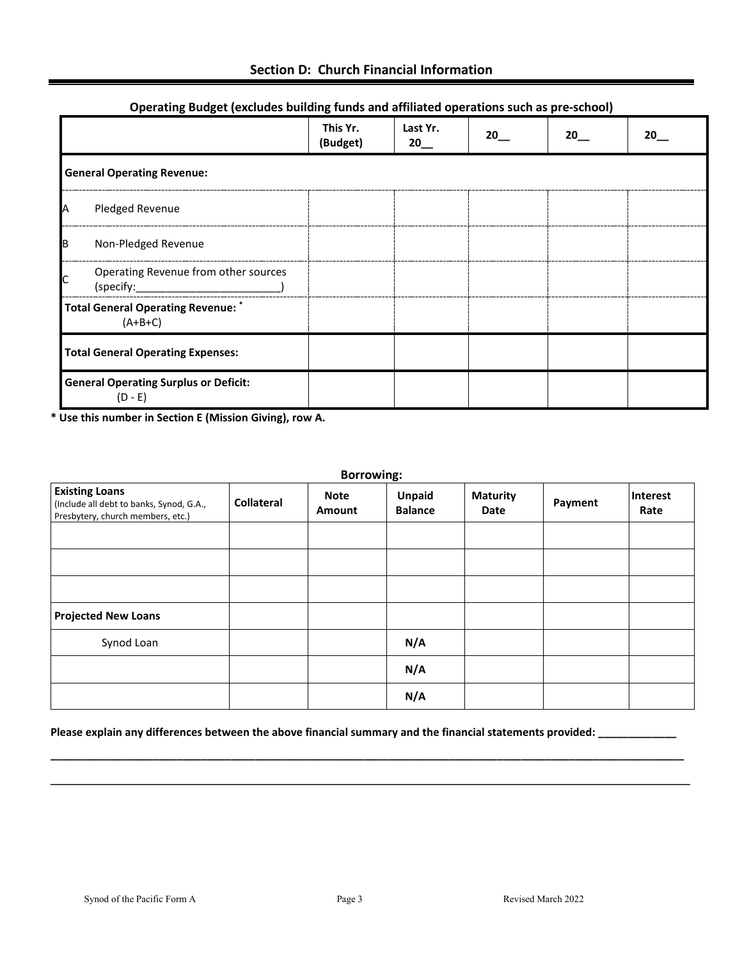|            | $\sim$ perasm.g = aages (exeraces wanted                  | ъ.                   |                                |    |                   |    |
|------------|-----------------------------------------------------------|----------------------|--------------------------------|----|-------------------|----|
|            |                                                           | This Yr.<br>(Budget) | Last Yr.<br>$20$ <sub>__</sub> | 20 | $20$ <sub>—</sub> | 20 |
|            | <b>General Operating Revenue:</b>                         |                      |                                |    |                   |    |
| IA         | Pledged Revenue                                           |                      |                                |    |                   |    |
| <b>I</b> B | Non-Pledged Revenue                                       |                      |                                |    |                   |    |
|            | Operating Revenue from other sources                      |                      |                                |    |                   |    |
|            | <b>Total General Operating Revenue:</b> *<br>$(A+B+C)$    |                      |                                |    |                   |    |
|            | <b>Total General Operating Expenses:</b>                  |                      |                                |    |                   |    |
|            | <b>General Operating Surplus or Deficit:</b><br>$(D - E)$ |                      |                                |    |                   |    |

#### **Operating Budget (excludes building funds and affiliated operations such as pre-school)**

**\* Use this number in Section E (Mission Giving), row A.**

| <b>Borrowing:</b>                                                                                      |                   |                              |                                 |                         |         |                  |
|--------------------------------------------------------------------------------------------------------|-------------------|------------------------------|---------------------------------|-------------------------|---------|------------------|
| <b>Existing Loans</b><br>(Include all debt to banks, Synod, G.A.,<br>Presbytery, church members, etc.) | <b>Collateral</b> | <b>Note</b><br><b>Amount</b> | <b>Unpaid</b><br><b>Balance</b> | <b>Maturity</b><br>Date | Payment | Interest<br>Rate |
|                                                                                                        |                   |                              |                                 |                         |         |                  |
|                                                                                                        |                   |                              |                                 |                         |         |                  |
|                                                                                                        |                   |                              |                                 |                         |         |                  |
| <b>Projected New Loans</b>                                                                             |                   |                              |                                 |                         |         |                  |
| Synod Loan                                                                                             |                   |                              | N/A                             |                         |         |                  |
|                                                                                                        |                   |                              | N/A                             |                         |         |                  |
|                                                                                                        |                   |                              | N/A                             |                         |         |                  |

**\_\_\_\_\_\_\_\_\_\_\_\_\_\_\_\_\_\_\_\_\_\_\_\_\_\_\_\_\_\_\_\_\_\_\_\_\_\_\_\_\_\_\_\_\_\_\_\_\_\_\_\_\_\_\_\_\_\_\_\_\_\_\_\_\_\_\_\_\_\_\_\_\_\_\_\_\_\_\_\_\_\_\_\_\_\_\_\_\_\_\_\_\_\_\_\_\_\_\_\_\_\_\_\_\_ \_\_\_\_\_\_\_\_\_\_\_\_\_\_\_\_\_\_\_\_\_\_\_\_\_\_\_\_\_\_\_\_\_\_\_\_\_\_\_\_\_\_\_\_\_\_\_\_\_\_\_\_\_\_\_\_\_\_\_\_\_\_\_\_\_\_\_\_\_\_\_\_\_\_\_\_\_\_\_\_\_\_\_\_\_\_\_\_** 

#### **Please explain any differences between the above financial summary and the financial statements provided: \_\_\_\_\_\_\_\_\_\_\_\_\_**

٠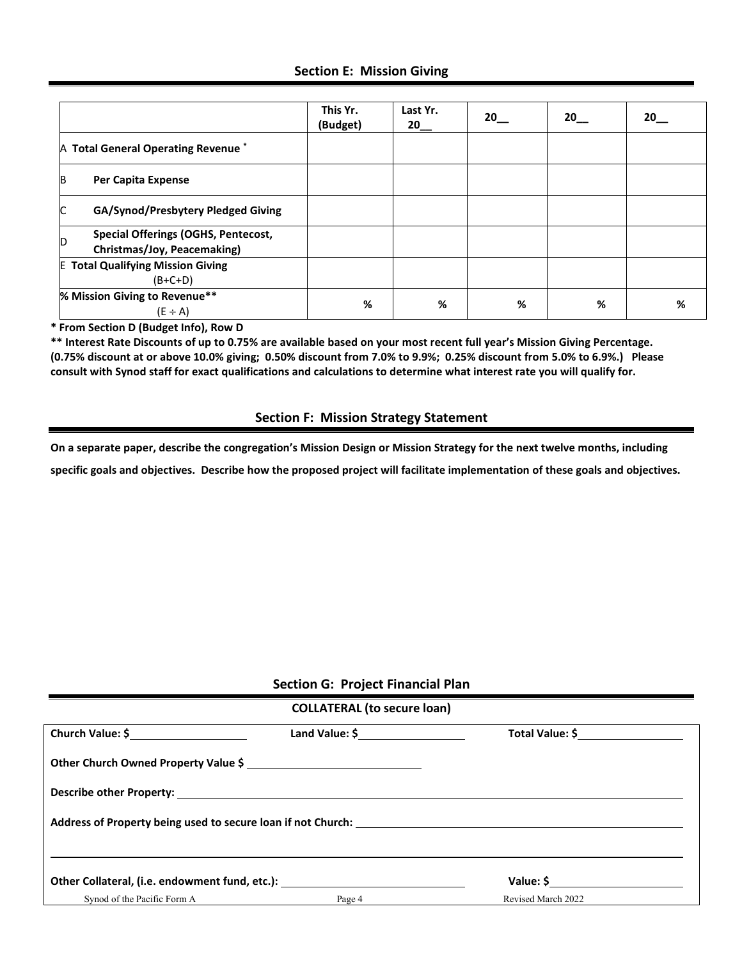#### **Section E: Mission Giving**

|                                                                          | This Yr.<br>(Budget) | Last Yr.<br>20 | 20 | 20 <sub>2</sub> | 20 |
|--------------------------------------------------------------------------|----------------------|----------------|----|-----------------|----|
| A Total General Operating Revenue <sup>*</sup>                           |                      |                |    |                 |    |
| <b>B</b><br>Per Capita Expense                                           |                      |                |    |                 |    |
| C<br>GA/Synod/Presbytery Pledged Giving                                  |                      |                |    |                 |    |
| Special Offerings (OGHS, Pentecost,<br>ID<br>Christmas/Joy, Peacemaking) |                      |                |    |                 |    |
| <b>E Total Qualifying Mission Giving</b><br>$(B+C+D)$                    |                      |                |    |                 |    |
| % Mission Giving to Revenue**<br>$(E \div A)$                            | %                    | %              | %  | %               | %  |

**\* From Section D (Budget Info), Row D**

**\*\* Interest Rate Discounts of up to 0.75% are available based on your most recent full year's Mission Giving Percentage. (0.75% discount at or above 10.0% giving; 0.50% discount from 7.0% to 9.9%; 0.25% discount from 5.0% to 6.9%.) Please consult with Synod staff for exact qualifications and calculations to determine what interest rate you will qualify for.**

#### **Section F: Mission Strategy Statement**

**On a separate paper, describe the congregation's Mission Design or Mission Strategy for the next twelve months, including** 

**specific goals and objectives. Describe how the proposed project will facilitate implementation of these goals and objectives.** 

#### **Section G: Project Financial Plan**

| <b>COLLATERAL (to secure loan)</b>                                               |        |                    |  |  |
|----------------------------------------------------------------------------------|--------|--------------------|--|--|
|                                                                                  |        | Total Value: \$    |  |  |
| Other Church Owned Property Value \$                                             |        |                    |  |  |
|                                                                                  |        |                    |  |  |
|                                                                                  |        |                    |  |  |
|                                                                                  |        |                    |  |  |
| Other Collateral, (i.e. endowment fund, etc.): _________________________________ |        |                    |  |  |
| Synod of the Pacific Form A                                                      | Page 4 | Revised March 2022 |  |  |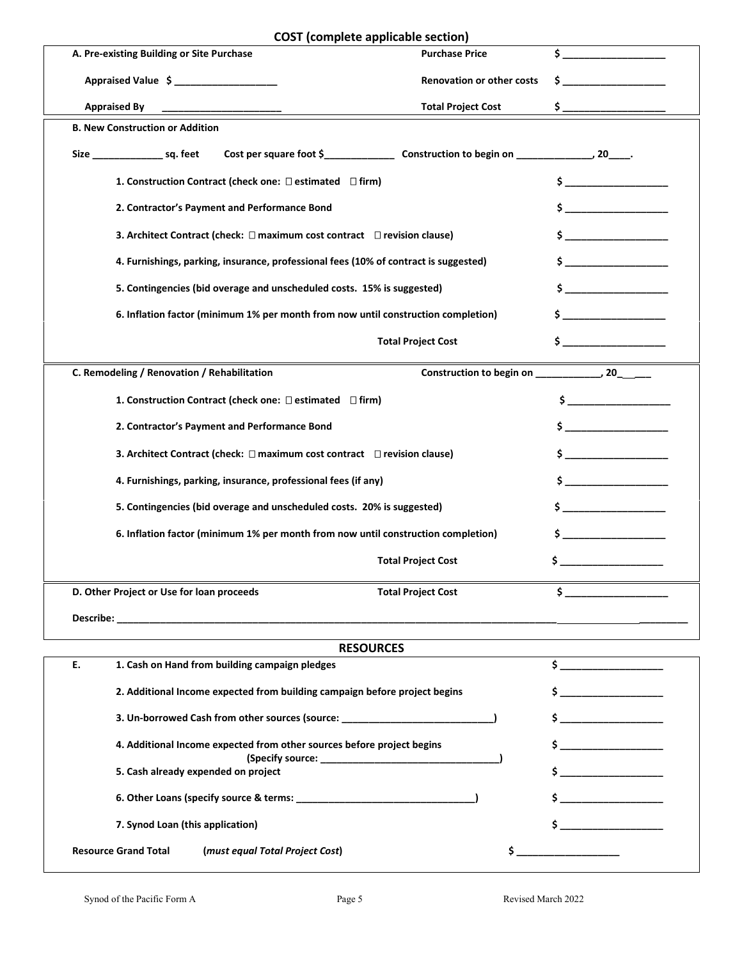|                                           | <b>COST</b> (complete applicable section)                                            |                                  |                                                                            |
|-------------------------------------------|--------------------------------------------------------------------------------------|----------------------------------|----------------------------------------------------------------------------|
| A. Pre-existing Building or Site Purchase |                                                                                      | <b>Purchase Price</b>            | Ś.                                                                         |
|                                           | Appraised Value \$ ____________________                                              | <b>Renovation or other costs</b> | \$.                                                                        |
| <b>Appraised By</b>                       |                                                                                      | <b>Total Project Cost</b>        | \$                                                                         |
| <b>B. New Construction or Addition</b>    |                                                                                      |                                  |                                                                            |
| Size ________________________ sq. feet    |                                                                                      |                                  |                                                                            |
|                                           | 1. Construction Contract (check one: $\square$ estimated $\square$ firm)             |                                  | $\sim$                                                                     |
|                                           | 2. Contractor's Payment and Performance Bond                                         |                                  | $\mathsf{\$}$ $\blacksquare$                                               |
|                                           | 3. Architect Contract (check: $\Box$ maximum cost contract $\Box$ revision clause)   |                                  | $\mathsf{\dot{S}}$                                                         |
|                                           | 4. Furnishings, parking, insurance, professional fees (10% of contract is suggested) |                                  | $\sim$ $\sim$                                                              |
|                                           | 5. Contingencies (bid overage and unscheduled costs. 15% is suggested)               |                                  |                                                                            |
|                                           | 6. Inflation factor (minimum 1% per month from now until construction completion)    |                                  | $\sim$ $\sim$                                                              |
|                                           |                                                                                      | <b>Total Project Cost</b>        | $\sim$ $\sim$                                                              |
|                                           | C. Remodeling / Renovation / Rehabilitation                                          |                                  |                                                                            |
|                                           | 1. Construction Contract (check one: □ estimated □ firm)                             |                                  |                                                                            |
|                                           | 2. Contractor's Payment and Performance Bond                                         |                                  | $\sim$                                                                     |
|                                           | 3. Architect Contract (check: $\Box$ maximum cost contract $\Box$ revision clause)   |                                  |                                                                            |
|                                           | 4. Furnishings, parking, insurance, professional fees (if any)                       |                                  | $\sim$ $\sim$                                                              |
|                                           | 5. Contingencies (bid overage and unscheduled costs. 20% is suggested)               |                                  | $\mathsf{s}$ $\qquad \qquad$                                               |
|                                           | 6. Inflation factor (minimum 1% per month from now until construction completion)    |                                  |                                                                            |
|                                           |                                                                                      | <b>Total Project Cost</b>        |                                                                            |
| D. Other Project or Use for loan proceeds |                                                                                      | <b>Total Project Cost</b>        | \$_                                                                        |
|                                           |                                                                                      |                                  |                                                                            |
|                                           |                                                                                      |                                  |                                                                            |
|                                           | <b>RESOURCES</b>                                                                     |                                  |                                                                            |
| Е.                                        | 1. Cash on Hand from building campaign pledges                                       |                                  | $\frac{1}{2}$                                                              |
|                                           | 2. Additional Income expected from building campaign before project begins           |                                  |                                                                            |
|                                           | 3. Un-borrowed Cash from other sources (source: ________________________________     |                                  | $\mathsf{S}$ and $\mathsf{S}$ and $\mathsf{S}$ are the set of $\mathsf{S}$ |
|                                           | 4. Additional Income expected from other sources before project begins               |                                  | \$                                                                         |
|                                           | 5. Cash already expended on project                                                  |                                  |                                                                            |

Resource Grand Total (*must equal Total Project Cost*) **\$** \_\_\_\_\_\_\_\_\_\_\_\_\_\_\_\_\_\_\_\_\_\_

 **6. Other Loans (specify source & terms: \_\_\_\_\_\_\_\_\_\_\_\_\_\_\_\_\_\_\_\_\_\_\_\_\_\_\_\_\_\_\_\_\_) \$ \_\_\_\_\_\_\_\_\_\_\_\_\_\_\_\_\_\_\_**

 **7. Synod Loan (this application) \$ \_\_\_\_\_\_\_\_\_\_\_\_\_\_\_\_\_\_\_**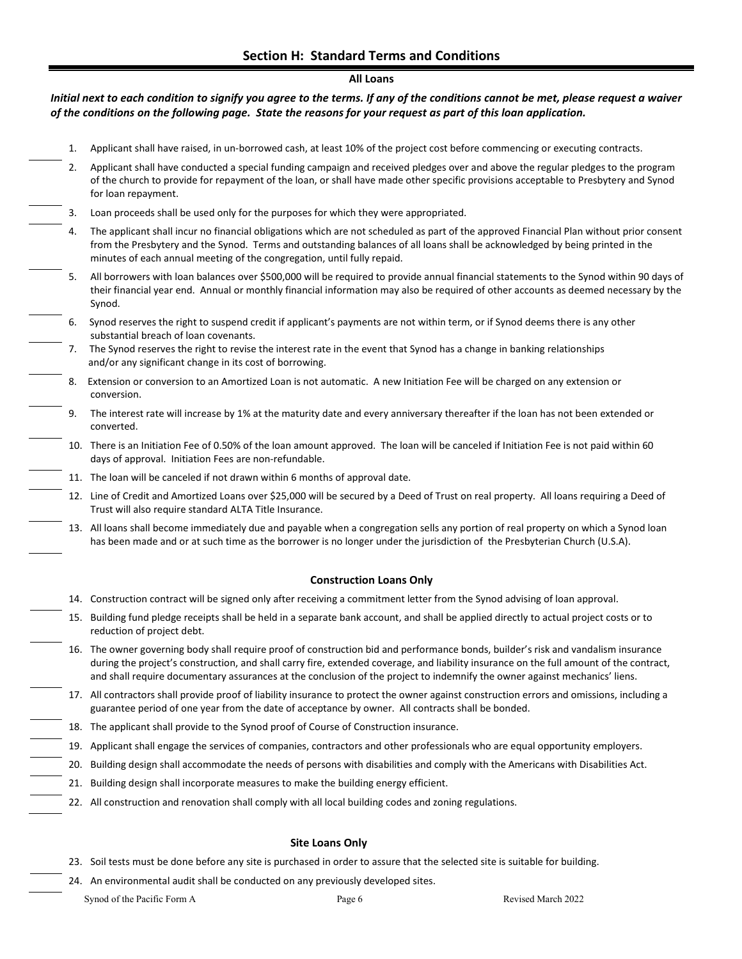#### **All Loans**

*Initial next to each condition to signify you agree to the terms. If any of the conditions cannot be met, please request a waiver of the conditions on the following page. State the reasons for your request as part of this loan application.*

- 1. Applicant shall have raised, in un-borrowed cash, at least 10% of the project cost before commencing or executing contracts.
- 2. Applicant shall have conducted a special funding campaign and received pledges over and above the regular pledges to the program of the church to provide for repayment of the loan, or shall have made other specific provisions acceptable to Presbytery and Synod for loan repayment.
- 3. Loan proceeds shall be used only for the purposes for which they were appropriated.
	- The applicant shall incur no financial obligations which are not scheduled as part of the approved Financial Plan without prior consent from the Presbytery and the Synod. Terms and outstanding balances of all loans shall be acknowledged by being printed in the minutes of each annual meeting of the congregation, until fully repaid.
	- All borrowers with loan balances over \$500,000 will be required to provide annual financial statements to the Synod within 90 days of their financial year end. Annual or monthly financial information may also be required of other accounts as deemed necessary by the Synod.
	- 6. Synod reserves the right to suspend credit if applicant's payments are not within term, or if Synod deems there is any other substantial breach of loan covenants.
	- 7. The Synod reserves the right to revise the interest rate in the event that Synod has a change in banking relationships and/or any significant change in its cost of borrowing.
	- 8. Extension or conversion to an Amortized Loan is not automatic. A new Initiation Fee will be charged on any extension or conversion.
	- 9. The interest rate will increase by 1% at the maturity date and every anniversary thereafter if the loan has not been extended or converted.
	- 10. There is an Initiation Fee of 0.50% of the loan amount approved. The loan will be canceled if Initiation Fee is not paid within 60 days of approval. Initiation Fees are non-refundable.
- 11. The loan will be canceled if not drawn within 6 months of approval date.
	- 12. Line of Credit and Amortized Loans over \$25,000 will be secured by a Deed of Trust on real property. All loans requiring a Deed of Trust will also require standard ALTA Title Insurance.
- 13. All loans shall become immediately due and payable when a congregation sells any portion of real property on which a Synod loan has been made and or at such time as the borrower is no longer under the jurisdiction of the Presbyterian Church (U.S.A).

#### **Construction Loans Only**

- 14. Construction contract will be signed only after receiving a commitment letter from the Synod advising of loan approval.
- 15. Building fund pledge receipts shall be held in a separate bank account, and shall be applied directly to actual project costs or to reduction of project debt.
- 16. The owner governing body shall require proof of construction bid and performance bonds, builder's risk and vandalism insurance during the project's construction, and shall carry fire, extended coverage, and liability insurance on the full amount of the contract, and shall require documentary assurances at the conclusion of the project to indemnify the owner against mechanics' liens.
- 17. All contractors shall provide proof of liability insurance to protect the owner against construction errors and omissions, including a guarantee period of one year from the date of acceptance by owner. All contracts shall be bonded.
- 18. The applicant shall provide to the Synod proof of Course of Construction insurance.
- 19. Applicant shall engage the services of companies, contractors and other professionals who are equal opportunity employers.
- 20. Building design shall accommodate the needs of persons with disabilities and comply with the Americans with Disabilities Act.
	- 21. Building design shall incorporate measures to make the building energy efficient.
- 22. All construction and renovation shall comply with all local building codes and zoning regulations.

#### **Site Loans Only**

- 23. Soil tests must be done before any site is purchased in order to assure that the selected site is suitable for building.
- 24. An environmental audit shall be conducted on any previously developed sites.

Synod of the Pacific Form A Page 6 Revised March 2022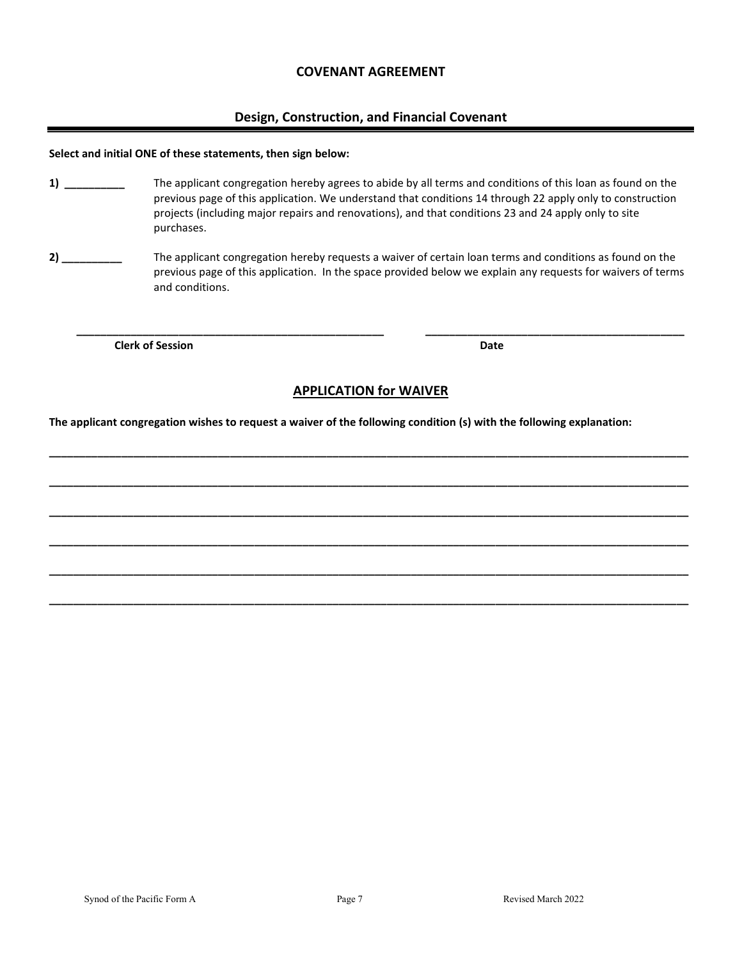#### **COVENANT AGREEMENT**

#### **Design, Construction, and Financial Covenant**

#### **Select and initial ONE of these statements, then sign below:**

- **1) \_\_\_\_\_\_\_\_\_\_** The applicant congregation hereby agrees to abide by all terms and conditions of this loan as found on the previous page of this application. We understand that conditions 14 through 22 apply only to construction projects (including major repairs and renovations), and that conditions 23 and 24 apply only to site purchases.
- **2) \_\_\_\_\_\_\_\_\_\_** The applicant congregation hereby requests a waiver of certain loan terms and conditions as found on the previous page of this application. In the space provided below we explain any requests for waivers of terms and conditions.

**Clerk of Session Date 2018 19:30 Date 20:30 Date** 

#### **APPLICATION for WAIVER**

**\_\_\_\_\_\_\_\_\_\_\_\_\_\_\_\_\_\_\_\_\_\_\_\_\_\_\_\_\_\_\_\_\_\_\_\_\_\_\_\_\_\_\_\_\_\_\_\_\_\_\_\_\_\_\_\_\_\_\_\_\_\_\_\_\_\_\_\_\_\_\_\_\_\_\_\_\_\_\_\_\_\_\_\_\_\_\_\_\_\_\_\_\_\_\_\_\_\_\_\_\_\_\_\_\_\_**

**\_\_\_\_\_\_\_\_\_\_\_\_\_\_\_\_\_\_\_\_\_\_\_\_\_\_\_\_\_\_\_\_\_\_\_\_\_\_\_\_\_\_\_\_\_\_\_\_\_\_\_\_\_\_\_\_\_\_\_\_\_\_\_\_\_\_\_\_\_\_\_\_\_\_\_\_\_\_\_\_\_\_\_\_\_\_\_\_\_\_\_\_\_\_\_\_\_\_\_\_\_\_\_\_\_\_**

**\_\_\_\_\_\_\_\_\_\_\_\_\_\_\_\_\_\_\_\_\_\_\_\_\_\_\_\_\_\_\_\_\_\_\_\_\_\_\_\_\_\_\_\_\_\_\_\_\_\_\_\_\_\_\_\_\_\_\_\_\_\_\_\_\_\_\_\_\_\_\_\_\_\_\_\_\_\_\_\_\_\_\_\_\_\_\_\_\_\_\_\_\_\_\_\_\_\_\_\_\_\_\_\_\_\_**

**\_\_\_\_\_\_\_\_\_\_\_\_\_\_\_\_\_\_\_\_\_\_\_\_\_\_\_\_\_\_\_\_\_\_\_\_\_\_\_\_\_\_\_\_\_\_\_\_\_\_\_\_\_\_\_\_\_\_\_\_\_\_\_\_\_\_\_\_\_\_\_\_\_\_\_\_\_\_\_\_\_\_\_\_\_\_\_\_\_\_\_\_\_\_\_\_\_\_\_\_\_\_\_\_\_\_**

**\_\_\_\_\_\_\_\_\_\_\_\_\_\_\_\_\_\_\_\_\_\_\_\_\_\_\_\_\_\_\_\_\_\_\_\_\_\_\_\_\_\_\_\_\_\_\_\_\_\_\_\_\_\_\_\_\_\_\_\_\_\_\_\_\_\_\_\_\_\_\_\_\_\_\_\_\_\_\_\_\_\_\_\_\_\_\_\_\_\_\_\_\_\_\_\_\_\_\_\_\_\_\_\_\_\_**

**\_\_\_\_\_\_\_\_\_\_\_\_\_\_\_\_\_\_\_\_\_\_\_\_\_\_\_\_\_\_\_\_\_\_\_\_\_\_\_\_\_\_\_\_\_\_\_\_\_\_\_\_\_\_\_\_\_\_\_\_\_\_\_\_\_\_\_\_\_\_\_\_\_\_\_\_\_\_\_\_\_\_\_\_\_\_\_\_\_\_\_\_\_\_\_\_\_\_\_\_\_\_\_\_\_\_**

 **\_\_\_\_\_\_\_\_\_\_\_\_\_\_\_\_\_\_\_\_\_\_\_\_\_\_\_\_\_\_\_\_\_\_\_\_\_\_\_\_\_\_\_\_\_\_\_\_\_\_\_ \_\_\_\_\_\_\_\_\_\_\_\_\_\_\_\_\_\_\_\_\_\_\_\_\_\_\_\_\_\_\_\_\_\_\_\_\_\_\_\_\_\_\_** 

**The applicant congregation wishes to request a waiver of the following condition (s) with the following explanation:**